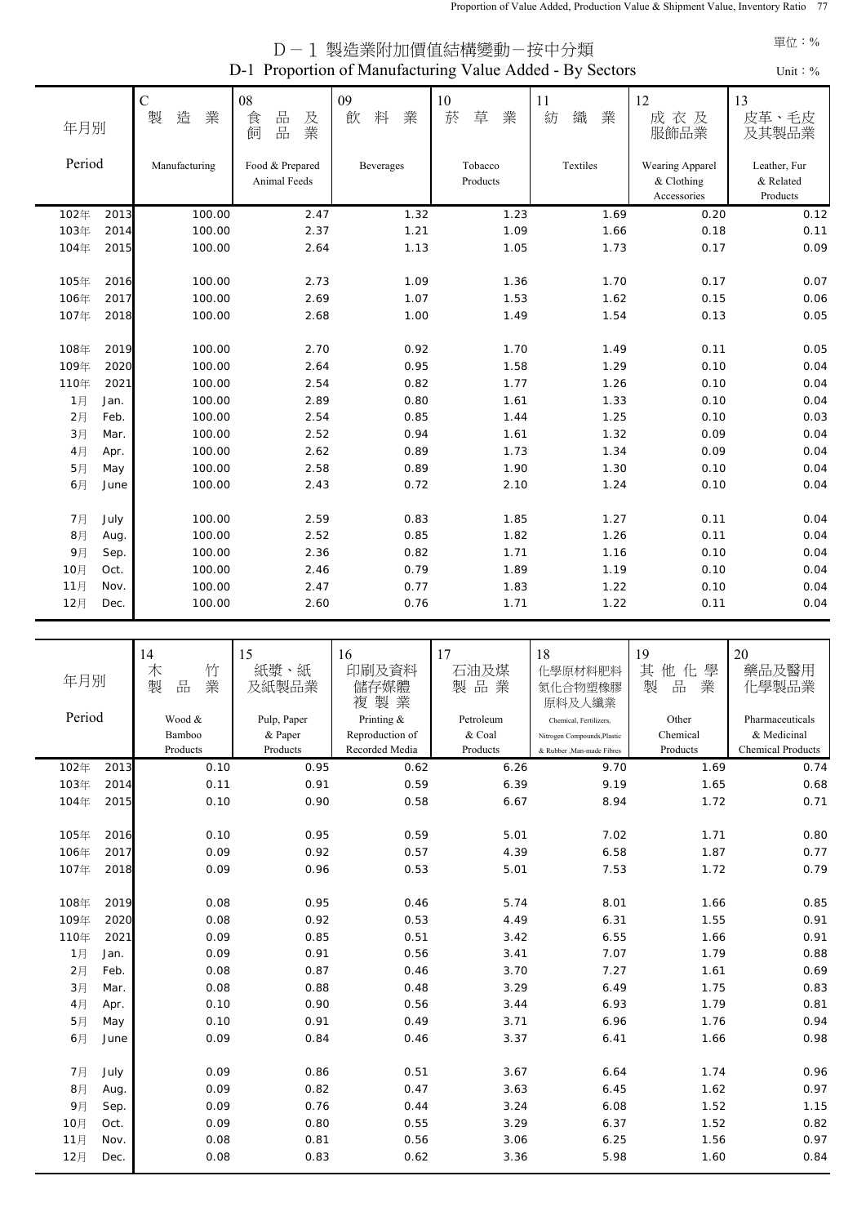| D-1 Proportion of Manufacturing Value Added - By Sectors<br>Unit: $\%$ |      |                            |                                 |                   |                       |                   |                                              |                                       |
|------------------------------------------------------------------------|------|----------------------------|---------------------------------|-------------------|-----------------------|-------------------|----------------------------------------------|---------------------------------------|
| 年月別                                                                    |      | $\mathbf C$<br>造<br>業<br>製 | 08<br>品<br>及業<br>食<br>品<br>飼    | 09<br>料<br>飲<br>業 | $10\,$<br>菸<br>草<br>業 | 11<br>織<br>業<br>紡 | 12<br>成衣及<br>服飾品業                            | 13<br>皮革、毛皮<br>及其製品業                  |
| Period                                                                 |      | Manufacturing              | Food & Prepared<br>Animal Feeds | Beverages         | Tobacco<br>Products   | Textiles          | Wearing Apparel<br>& Clothing<br>Accessories | Leather, Fur<br>& Related<br>Products |
| 102年                                                                   | 2013 | 100.00                     | 2.47                            | 1.32              | 1.23                  | 1.69              | 0.20                                         | 0.12                                  |
| 103年                                                                   | 2014 | 100.00                     | 2.37                            | 1.21              | 1.09                  | 1.66              | 0.18                                         | 0.11                                  |
| 104年                                                                   | 2015 | 100.00                     | 2.64                            | 1.13              | 1.05                  | 1.73              | 0.17                                         | 0.09                                  |
| 105年                                                                   | 2016 | 100.00                     | 2.73                            | 1.09              | 1.36                  | 1.70              | 0.17                                         | 0.07                                  |
| 106年                                                                   | 2017 | 100.00                     | 2.69                            | 1.07              | 1.53                  | 1.62              | 0.15                                         | 0.06                                  |
| 107年                                                                   | 2018 | 100.00                     | 2.68                            | 1.00              | 1.49                  | 1.54              | 0.13                                         | 0.05                                  |
| 108年                                                                   | 2019 | 100.00                     | 2.70                            | 0.92              | 1.70                  | 1.49              | 0.11                                         | 0.05                                  |
| 109年                                                                   | 2020 | 100.00                     | 2.64                            | 0.95              | 1.58                  | 1.29              | 0.10                                         | 0.04                                  |
| 110年                                                                   | 2021 | 100.00                     | 2.54                            | 0.82              | 1.77                  | 1.26              | 0.10                                         | 0.04                                  |
| 1月                                                                     | Jan. | 100.00                     | 2.89                            | 0.80              | 1.61                  | 1.33              | 0.10                                         | 0.04                                  |
| 2月                                                                     | Feb. | 100.00                     | 2.54                            | 0.85              | 1.44                  | 1.25              | 0.10                                         | 0.03                                  |
| 3月                                                                     | Mar. | 100.00                     | 2.52                            | 0.94              | 1.61                  | 1.32              | 0.09                                         | 0.04                                  |
| 4月                                                                     | Apr. | 100.00                     | 2.62                            | 0.89              | 1.73                  | 1.34              | 0.09                                         | 0.04                                  |
| 5月                                                                     | May  | 100.00                     | 2.58                            | 0.89              | 1.90                  | 1.30              | 0.10                                         | 0.04                                  |
| 6月                                                                     | June | 100.00                     | 2.43                            | 0.72              | 2.10                  | 1.24              | 0.10                                         | 0.04                                  |
| 7月                                                                     | July | 100.00                     | 2.59                            | 0.83              | 1.85                  | 1.27              | 0.11                                         | 0.04                                  |
| 8月                                                                     | Aug. | 100.00                     | 2.52                            | 0.85              | 1.82                  | 1.26              | 0.11                                         | 0.04                                  |
| 9月                                                                     | Sep. | 100.00                     | 2.36                            | 0.82              | 1.71                  | 1.16              | 0.10                                         | 0.04                                  |
| 10月                                                                    | Oct. | 100.00                     | 2.46                            | 0.79              | 1.89                  | 1.19              | 0.10                                         | 0.04                                  |
| 11月                                                                    | Nov. | 100.00                     | 2.47                            | 0.77              | 1.83                  | 1.22              | 0.10                                         | 0.04                                  |
| 12月                                                                    | Dec. | 100.00                     | 2.60                            | 0.76              | 1.71                  | 1.22              | 0.11                                         | 0.04                                  |

D-1 製造業附加價值結構變動-按中分類

|        |      | 14                    | 15          | 16              | 17        | 18                          | 19                                            | 20                       |
|--------|------|-----------------------|-------------|-----------------|-----------|-----------------------------|-----------------------------------------------|--------------------------|
| 年月別    |      | 竹<br>木<br>製<br>品<br>業 | 紙漿、<br>紙    | 印刷及資料           | 石油及煤      | 化學原材料肥料                     | 其<br>他化<br>學<br>製<br>$\frac{\Box}{\Box \Box}$ | 藥品及醫用                    |
|        |      |                       | 及紙製品業       | 儲存媒體<br>製業<br>複 | 製品業       | 氮化合物塑橡膠<br>原料及人纖業           | 業                                             | 化學製品業                    |
| Period |      | Wood &                | Pulp, Paper | Printing &      | Petroleum | Chemical, Fertilizers.      | Other                                         | Pharmaceuticals          |
|        |      | Bamboo                | & Paper     | Reproduction of | & Coal    | Nitrogen Compounds, Plastic | Chemical                                      | & Medicinal              |
|        |      | Products              | Products    | Recorded Media  | Products  | & Rubber , Man-made Fibres  | Products                                      | <b>Chemical Products</b> |
| 102年   | 2013 | 0.10                  | 0.95        | 0.62            | 6.26      | 9.70                        | 1.69                                          | 0.74                     |
| 103年   | 2014 | 0.11                  | 0.91        | 0.59            | 6.39      | 9.19                        | 1.65                                          | 0.68                     |
| 104年   | 2015 | 0.10                  | 0.90        | 0.58            | 6.67      | 8.94                        | 1.72                                          | 0.71                     |
|        |      |                       |             |                 |           |                             |                                               |                          |
| 105年   | 2016 | 0.10                  | 0.95        | 0.59            | 5.01      | 7.02                        | 1.71                                          | 0.80                     |
| 106年   | 2017 | 0.09                  | 0.92        | 0.57            | 4.39      | 6.58                        | 1.87                                          | 0.77                     |
| 107年   | 2018 | 0.09                  | 0.96        | 0.53            | 5.01      | 7.53                        | 1.72                                          | 0.79                     |
|        |      |                       |             |                 |           |                             |                                               |                          |
| 108年   | 2019 | 0.08                  | 0.95        | 0.46            | 5.74      | 8.01                        | 1.66                                          | 0.85                     |
| 109年   | 2020 | 0.08                  | 0.92        | 0.53            | 4.49      | 6.31                        | 1.55                                          | 0.91                     |
| 110年   | 2021 | 0.09                  | 0.85        | 0.51            | 3.42      | 6.55                        | 1.66                                          | 0.91                     |
| 1月     | Jan. | 0.09                  | 0.91        | 0.56            | 3.41      | 7.07                        | 1.79                                          | 0.88                     |
| 2月     | Feb. | 0.08                  | 0.87        | 0.46            | 3.70      | 7.27                        | 1.61                                          | 0.69                     |
| 3月     | Mar. | 0.08                  | 0.88        | 0.48            | 3.29      | 6.49                        | 1.75                                          | 0.83                     |
| 4月     | Apr. | 0.10                  | 0.90        | 0.56            | 3.44      | 6.93                        | 1.79                                          | 0.81                     |
| 5月     | May  | 0.10                  | 0.91        | 0.49            | 3.71      | 6.96                        | 1.76                                          | 0.94                     |
| 6月     | June | 0.09                  | 0.84        | 0.46            | 3.37      | 6.41                        | 1.66                                          | 0.98                     |
|        |      |                       |             |                 |           |                             |                                               |                          |
| 7月     | July | 0.09                  | 0.86        | 0.51            | 3.67      | 6.64                        | 1.74                                          | 0.96                     |
| 8月     | Aug. | 0.09                  | 0.82        | 0.47            | 3.63      | 6.45                        | 1.62                                          | 0.97                     |
| 9月     | Sep. | 0.09                  | 0.76        | 0.44            | 3.24      | 6.08                        | 1.52                                          | 1.15                     |
| 10月    | Oct. | 0.09                  | 0.80        | 0.55            | 3.29      | 6.37                        | 1.52                                          | 0.82                     |
| 11月    | Nov. | 0.08                  | 0.81        | 0.56            | 3.06      | 6.25                        | 1.56                                          | 0.97                     |
| 12月    | Dec. | 0.08                  | 0.83        | 0.62            | 3.36      | 5.98                        | 1.60                                          | 0.84                     |

## 單位:%